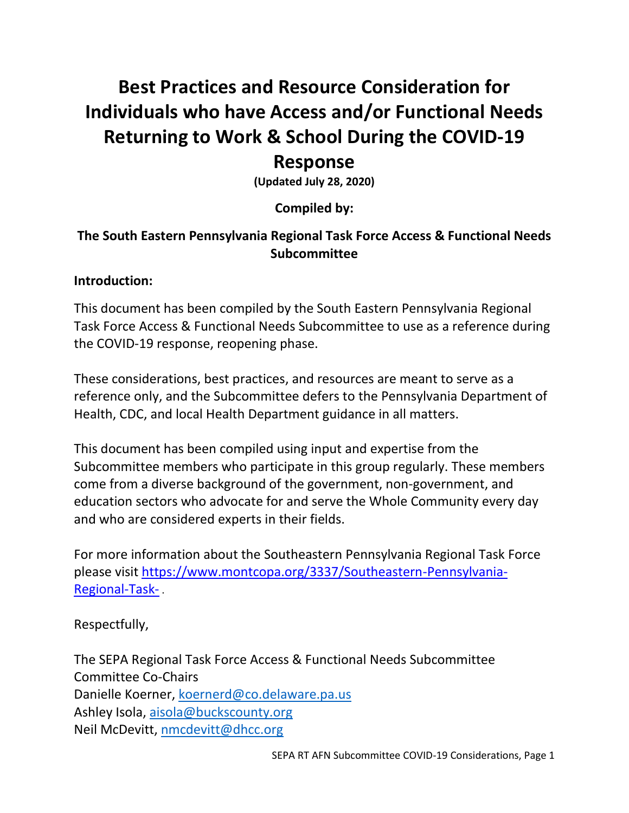# **Best Practices and Resource Consideration for Individuals who have Access and/or Functional Needs Returning to Work & School During the COVID-19**

## **Response**

**(Updated July 28, 2020)**

### **Compiled by:**

### **The South Eastern Pennsylvania Regional Task Force Access & Functional Needs Subcommittee**

#### **Introduction:**

This document has been compiled by the South Eastern Pennsylvania Regional Task Force Access & Functional Needs Subcommittee to use as a reference during the COVID-19 response, reopening phase.

These considerations, best practices, and resources are meant to serve as a reference only, and the Subcommittee defers to the Pennsylvania Department of Health, CDC, and local Health Department guidance in all matters.

This document has been compiled using input and expertise from the Subcommittee members who participate in this group regularly. These members come from a diverse background of the government, non-government, and education sectors who advocate for and serve the Whole Community every day and who are considered experts in their fields.

For more information about the Southeastern Pennsylvania Regional Task Force please visit [https://www.montcopa.org/3337/Southeastern-Pennsylvania-](https://www.montcopa.org/3337/Southeastern-Pennsylvania-Regional-Task-)[Regional-Task-](https://www.montcopa.org/3337/Southeastern-Pennsylvania-Regional-Task-) .

Respectfully,

The SEPA Regional Task Force Access & Functional Needs Subcommittee Committee Co-Chairs Danielle Koerner, [koernerd@co.delaware.pa.us](mailto:koernerd@co.delaware.pa.us) Ashley Isola, [aisola@buckscounty.org](mailto:aisola@buckscounty.org) Neil McDevitt, [nmcdevitt@dhcc.org](mailto:nmcdevitt@dhcc.org)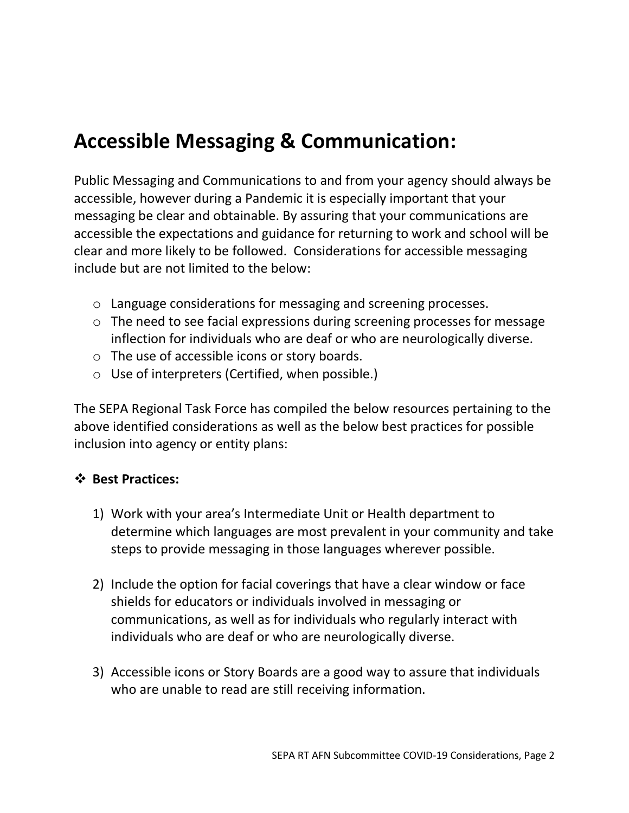## **Accessible Messaging & Communication:**

Public Messaging and Communications to and from your agency should always be accessible, however during a Pandemic it is especially important that your messaging be clear and obtainable. By assuring that your communications are accessible the expectations and guidance for returning to work and school will be clear and more likely to be followed. Considerations for accessible messaging include but are not limited to the below:

- o Language considerations for messaging and screening processes.
- o The need to see facial expressions during screening processes for message inflection for individuals who are deaf or who are neurologically diverse.
- o The use of accessible icons or story boards.
- o Use of interpreters (Certified, when possible.)

The SEPA Regional Task Force has compiled the below resources pertaining to the above identified considerations as well as the below best practices for possible inclusion into agency or entity plans:

#### ❖ **Best Practices:**

- 1) Work with your area's Intermediate Unit or Health department to determine which languages are most prevalent in your community and take steps to provide messaging in those languages wherever possible.
- 2) Include the option for facial coverings that have a clear window or face shields for educators or individuals involved in messaging or communications, as well as for individuals who regularly interact with individuals who are deaf or who are neurologically diverse.
- 3) Accessible icons or Story Boards are a good way to assure that individuals who are unable to read are still receiving information.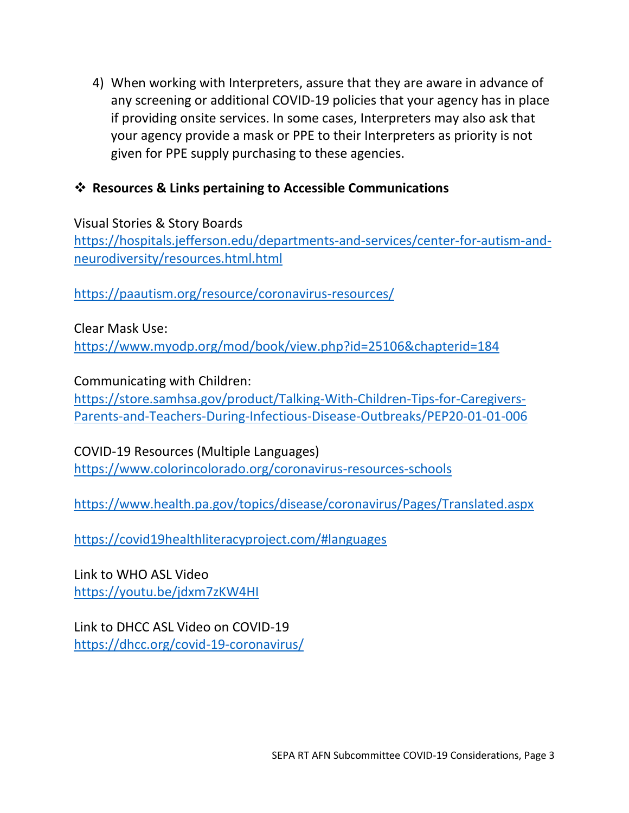4) When working with Interpreters, assure that they are aware in advance of any screening or additional COVID-19 policies that your agency has in place if providing onsite services. In some cases, Interpreters may also ask that your agency provide a mask or PPE to their Interpreters as priority is not given for PPE supply purchasing to these agencies.

### ❖ **Resources & Links pertaining to Accessible Communications**

Visual Stories & Story Boards [https://hospitals.jefferson.edu/departments-and-services/center-for-autism-and](https://hospitals.jefferson.edu/departments-and-services/center-for-autism-and-neurodiversity/resources.html.html)[neurodiversity/resources.html.html](https://hospitals.jefferson.edu/departments-and-services/center-for-autism-and-neurodiversity/resources.html.html)

<https://paautism.org/resource/coronavirus-resources/>

Clear Mask Use: <https://www.myodp.org/mod/book/view.php?id=25106&chapterid=184>

Communicating with Children:

[https://store.samhsa.gov/product/Talking-With-Children-Tips-for-Caregivers-](https://store.samhsa.gov/product/Talking-With-Children-Tips-for-Caregivers-Parents-and-Teachers-During-Infectious-Disease-Outbreaks/PEP20-01-01-006)[Parents-and-Teachers-During-Infectious-Disease-Outbreaks/PEP20-01-01-006](https://store.samhsa.gov/product/Talking-With-Children-Tips-for-Caregivers-Parents-and-Teachers-During-Infectious-Disease-Outbreaks/PEP20-01-01-006)

COVID-19 Resources (Multiple Languages) <https://www.colorincolorado.org/coronavirus-resources-schools>

<https://www.health.pa.gov/topics/disease/coronavirus/Pages/Translated.aspx>

<https://covid19healthliteracyproject.com/#languages>

Link to WHO ASL Video <https://youtu.be/jdxm7zKW4HI>

Link to DHCC ASL Video on COVID-19 [https://dhcc.org/covid-19-coronavirus/](https://gcc01.safelinks.protection.outlook.com/?url=https%3A%2F%2Fdhcc.org%2Fcovid-19-coronavirus%2F&data=02%7C01%7CKoernerD%40co.delaware.pa.us%7C0b43d55b08de43f7212c08d7d6499694%7C8551c32a4d014b3eb3a0d59c2f37e1ce%7C0%7C0%7C637213483866089209&sdata=480MG%2F%2F3xfkrpCG3vJzAAmvGSOHY0HY0gZSTs1pJ3j8%3D&reserved=0)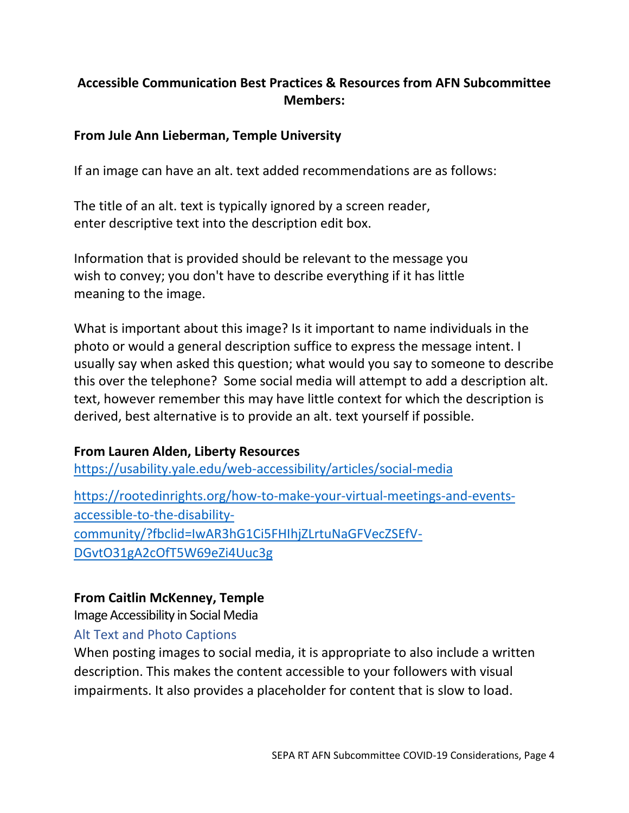### **Accessible Communication Best Practices & Resources from AFN Subcommittee Members:**

#### **From Jule Ann Lieberman, Temple University**

If an image can have an alt. text added recommendations are as follows:

The title of an alt. text is typically ignored by a screen reader, enter descriptive text into the description edit box.

Information that is provided should be relevant to the message you wish to convey; you don't have to describe everything if it has little meaning to the image.

What is important about this image? Is it important to name individuals in the photo or would a general description suffice to express the message intent. I usually say when asked this question; what would you say to someone to describe this over the telephone? Some social media will attempt to add a description alt. text, however remember this may have little context for which the description is derived, best alternative is to provide an alt. text yourself if possible.

#### **From Lauren Alden, Liberty Resources**

[https://usability.yale.edu/web-accessibility/articles/social-media](https://gcc02.safelinks.protection.outlook.com/?url=https%3A%2F%2Fusability.yale.edu%2Fweb-accessibility%2Farticles%2Fsocial-media&data=02%7C01%7Ckoernerd%40co.delaware.pa.us%7C3b97e67b42a94d39343a08d7e14e461d%7C8551c32a4d014b3eb3a0d59c2f37e1ce%7C0%7C0%7C637225598613585922&sdata=r9T%2BEMmrkT6bQh1wWnP0%2FNIx7062GYIb9QLecFgR6SY%3D&reserved=0)

[https://rootedinrights.org/how-to-make-your-virtual-meetings-and-events](https://gcc02.safelinks.protection.outlook.com/?url=https%3A%2F%2Frootedinrights.org%2Fhow-to-make-your-virtual-meetings-and-events-accessible-to-the-disability-community%2F%3Ffbclid%3DIwAR3hG1Ci5FHIhjZLrtuNaGFVecZSEfV-DGvtO31gA2cOfT5W69eZi4Uuc3g&data=02%7C01%7Ckoernerd%40co.delaware.pa.us%7C3b97e67b42a94d39343a08d7e14e461d%7C8551c32a4d014b3eb3a0d59c2f37e1ce%7C0%7C0%7C637225598613585922&sdata=OJ%2FzPOoB4mr4olY9z5InP75gF43Z3osye7GjdSn0vb8%3D&reserved=0)[accessible-to-the-disability](https://gcc02.safelinks.protection.outlook.com/?url=https%3A%2F%2Frootedinrights.org%2Fhow-to-make-your-virtual-meetings-and-events-accessible-to-the-disability-community%2F%3Ffbclid%3DIwAR3hG1Ci5FHIhjZLrtuNaGFVecZSEfV-DGvtO31gA2cOfT5W69eZi4Uuc3g&data=02%7C01%7Ckoernerd%40co.delaware.pa.us%7C3b97e67b42a94d39343a08d7e14e461d%7C8551c32a4d014b3eb3a0d59c2f37e1ce%7C0%7C0%7C637225598613585922&sdata=OJ%2FzPOoB4mr4olY9z5InP75gF43Z3osye7GjdSn0vb8%3D&reserved=0)[community/?fbclid=IwAR3hG1Ci5FHIhjZLrtuNaGFVecZSEfV-](https://gcc02.safelinks.protection.outlook.com/?url=https%3A%2F%2Frootedinrights.org%2Fhow-to-make-your-virtual-meetings-and-events-accessible-to-the-disability-community%2F%3Ffbclid%3DIwAR3hG1Ci5FHIhjZLrtuNaGFVecZSEfV-DGvtO31gA2cOfT5W69eZi4Uuc3g&data=02%7C01%7Ckoernerd%40co.delaware.pa.us%7C3b97e67b42a94d39343a08d7e14e461d%7C8551c32a4d014b3eb3a0d59c2f37e1ce%7C0%7C0%7C637225598613585922&sdata=OJ%2FzPOoB4mr4olY9z5InP75gF43Z3osye7GjdSn0vb8%3D&reserved=0)[DGvtO31gA2cOfT5W69eZi4Uuc3g](https://gcc02.safelinks.protection.outlook.com/?url=https%3A%2F%2Frootedinrights.org%2Fhow-to-make-your-virtual-meetings-and-events-accessible-to-the-disability-community%2F%3Ffbclid%3DIwAR3hG1Ci5FHIhjZLrtuNaGFVecZSEfV-DGvtO31gA2cOfT5W69eZi4Uuc3g&data=02%7C01%7Ckoernerd%40co.delaware.pa.us%7C3b97e67b42a94d39343a08d7e14e461d%7C8551c32a4d014b3eb3a0d59c2f37e1ce%7C0%7C0%7C637225598613585922&sdata=OJ%2FzPOoB4mr4olY9z5InP75gF43Z3osye7GjdSn0vb8%3D&reserved=0)

#### **From Caitlin McKenney, Temple**

Image Accessibility in Social Media

#### Alt Text and Photo Captions

When posting images to social media, it is appropriate to also include a written description. This makes the content accessible to your followers with visual impairments. It also provides a placeholder for content that is slow to load.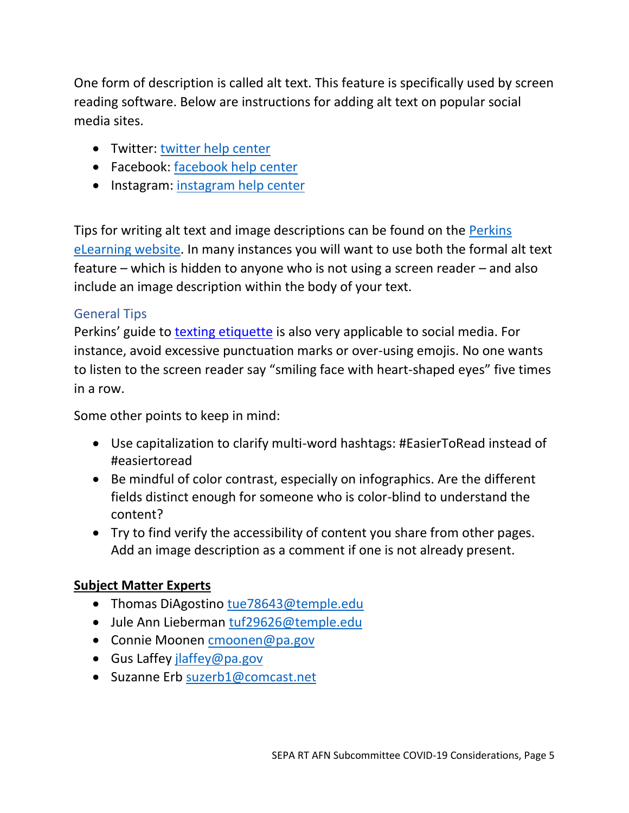One form of description is called alt text. This feature is specifically used by screen reading software. Below are instructions for adding alt text on popular social media sites.

- Twitter: [twitter help center](https://gcc02.safelinks.protection.outlook.com/?url=https%3A%2F%2Fhelp.twitter.com%2Fen%2Fusing-twitter%2Fpicture-descriptions&data=02%7C01%7Ckoernerd%40co.delaware.pa.us%7C3b97e67b42a94d39343a08d7e14e461d%7C8551c32a4d014b3eb3a0d59c2f37e1ce%7C0%7C0%7C637225598613595878&sdata=7nyrhPO8UfGC4o%2B9IIpu9SxeP7JOl9jephUhpCv1YaM%3D&reserved=0)
- Facebook: [facebook help center](https://gcc02.safelinks.protection.outlook.com/?url=https%3A%2F%2Fwww.facebook.com%2Fhelp%2F214124458607871&data=02%7C01%7Ckoernerd%40co.delaware.pa.us%7C3b97e67b42a94d39343a08d7e14e461d%7C8551c32a4d014b3eb3a0d59c2f37e1ce%7C0%7C0%7C637225598613595878&sdata=SoFM4VXdMLSZPsM82dJZdVSDTYaP%2BTCaYWUJTlAWWZI%3D&reserved=0)
- Instagram: [instagram help center](https://gcc02.safelinks.protection.outlook.com/?url=https%3A%2F%2Fhelp.instagram.com%2F503708446705527&data=02%7C01%7Ckoernerd%40co.delaware.pa.us%7C3b97e67b42a94d39343a08d7e14e461d%7C8551c32a4d014b3eb3a0d59c2f37e1ce%7C0%7C0%7C637225598613605836&sdata=bbBJy2gAMwJ9RspHdzt8NDQby2%2BYHGw6%2BvJ3HpY%2BXYQ%3D&reserved=0)

Tips for writing alt text and image descriptions can be found on the [Perkins](https://gcc02.safelinks.protection.outlook.com/?url=https%3A%2F%2Fwww.perkinselearning.org%2Ftechnology%2Fblog%2Fhow-write-alt-text-and-image-descriptions-visually-impaired&data=02%7C01%7Ckoernerd%40co.delaware.pa.us%7C3b97e67b42a94d39343a08d7e14e461d%7C8551c32a4d014b3eb3a0d59c2f37e1ce%7C0%7C0%7C637225598613605836&sdata=mZB8WZ7GKNRXa2NM9wJKeMNqvYeQg2s%2FC9LAhg5v5c4%3D&reserved=0)  [eLearning website.](https://gcc02.safelinks.protection.outlook.com/?url=https%3A%2F%2Fwww.perkinselearning.org%2Ftechnology%2Fblog%2Fhow-write-alt-text-and-image-descriptions-visually-impaired&data=02%7C01%7Ckoernerd%40co.delaware.pa.us%7C3b97e67b42a94d39343a08d7e14e461d%7C8551c32a4d014b3eb3a0d59c2f37e1ce%7C0%7C0%7C637225598613605836&sdata=mZB8WZ7GKNRXa2NM9wJKeMNqvYeQg2s%2FC9LAhg5v5c4%3D&reserved=0) In many instances you will want to use both the formal alt text feature – which is hidden to anyone who is not using a screen reader – and also include an image description within the body of your text.

## General Tips

Perkins' guide to [texting etiquette](https://gcc02.safelinks.protection.outlook.com/?url=https%3A%2F%2Fwww.perkinselearning.org%2Ftechnology%2Fblog%2Ftexting-etiquette-low-vision&data=02%7C01%7Ckoernerd%40co.delaware.pa.us%7C3b97e67b42a94d39343a08d7e14e461d%7C8551c32a4d014b3eb3a0d59c2f37e1ce%7C0%7C0%7C637225598613605836&sdata=Y%2FjQKDpSZrObeRsCIqby28nABiyEZr8Z3iujtJ2N7EU%3D&reserved=0) is also very applicable to social media. For instance, avoid excessive punctuation marks or over-using emojis. No one wants to listen to the screen reader say "smiling face with heart-shaped eyes" five times in a row.

Some other points to keep in mind:

- Use capitalization to clarify multi-word hashtags: #EasierToRead instead of #easiertoread
- Be mindful of color contrast, especially on infographics. Are the different fields distinct enough for someone who is color-blind to understand the content?
- Try to find verify the accessibility of content you share from other pages. Add an image description as a comment if one is not already present.

## **Subject Matter Experts**

- Thomas DiAgostino [tue78643@temple.edu](mailto:tue78643@temple.edu)
- Jule Ann Lieberman [tuf29626@temple.edu](mailto:tuf29626@temple.edu)
- Connie Moonen [cmoonen@pa.gov](mailto:cmoonen@pa.gov)
- Gus Laffey [jlaffey@pa.gov](mailto:jlaffey@pa.gov)
- Suzanne Erb [suzerb1@comcast.net](mailto:suzerb1@comcast.net)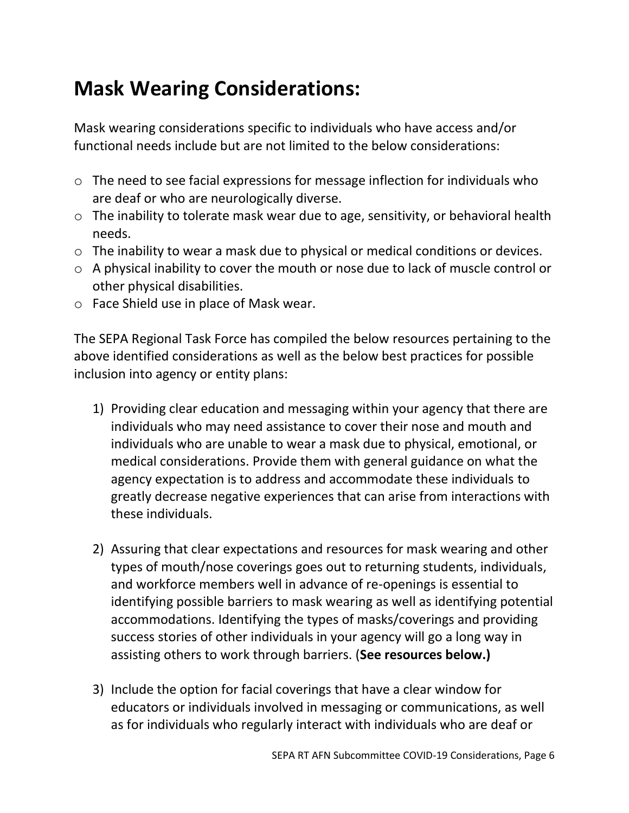## **Mask Wearing Considerations:**

Mask wearing considerations specific to individuals who have access and/or functional needs include but are not limited to the below considerations:

- o The need to see facial expressions for message inflection for individuals who are deaf or who are neurologically diverse.
- o The inability to tolerate mask wear due to age, sensitivity, or behavioral health needs.
- o The inability to wear a mask due to physical or medical conditions or devices.
- o A physical inability to cover the mouth or nose due to lack of muscle control or other physical disabilities.
- o Face Shield use in place of Mask wear.

The SEPA Regional Task Force has compiled the below resources pertaining to the above identified considerations as well as the below best practices for possible inclusion into agency or entity plans:

- 1) Providing clear education and messaging within your agency that there are individuals who may need assistance to cover their nose and mouth and individuals who are unable to wear a mask due to physical, emotional, or medical considerations. Provide them with general guidance on what the agency expectation is to address and accommodate these individuals to greatly decrease negative experiences that can arise from interactions with these individuals.
- 2) Assuring that clear expectations and resources for mask wearing and other types of mouth/nose coverings goes out to returning students, individuals, and workforce members well in advance of re-openings is essential to identifying possible barriers to mask wearing as well as identifying potential accommodations. Identifying the types of masks/coverings and providing success stories of other individuals in your agency will go a long way in assisting others to work through barriers. (**See resources below.)**
- 3) Include the option for facial coverings that have a clear window for educators or individuals involved in messaging or communications, as well as for individuals who regularly interact with individuals who are deaf or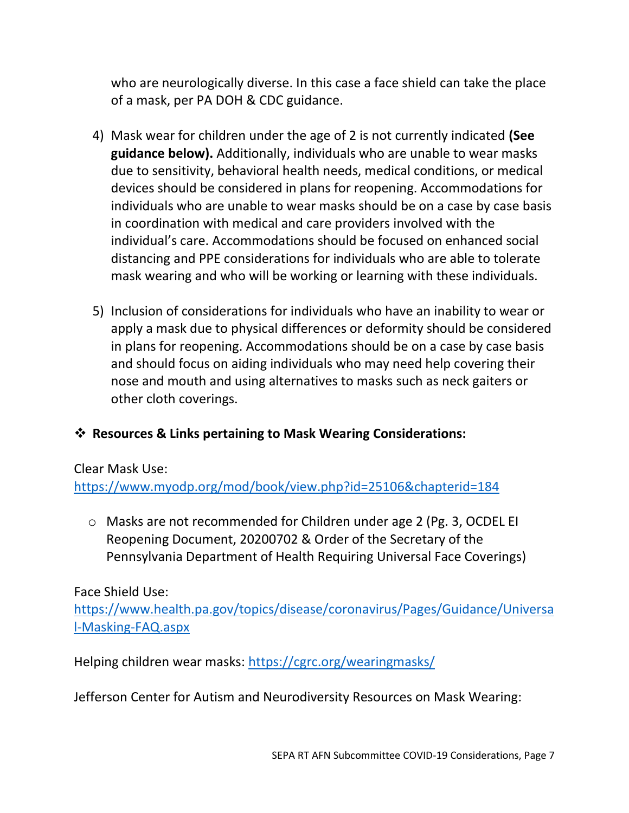who are neurologically diverse. In this case a face shield can take the place of a mask, per PA DOH & CDC guidance.

- 4) Mask wear for children under the age of 2 is not currently indicated **(See guidance below).** Additionally, individuals who are unable to wear masks due to sensitivity, behavioral health needs, medical conditions, or medical devices should be considered in plans for reopening. Accommodations for individuals who are unable to wear masks should be on a case by case basis in coordination with medical and care providers involved with the individual's care. Accommodations should be focused on enhanced social distancing and PPE considerations for individuals who are able to tolerate mask wearing and who will be working or learning with these individuals.
- 5) Inclusion of considerations for individuals who have an inability to wear or apply a mask due to physical differences or deformity should be considered in plans for reopening. Accommodations should be on a case by case basis and should focus on aiding individuals who may need help covering their nose and mouth and using alternatives to masks such as neck gaiters or other cloth coverings.

#### ❖ **Resources & Links pertaining to Mask Wearing Considerations:**

Clear Mask Use:

<https://www.myodp.org/mod/book/view.php?id=25106&chapterid=184>

o Masks are not recommended for Children under age 2 (Pg. 3, OCDEL EI Reopening Document, 20200702 & Order of the Secretary of the Pennsylvania Department of Health Requiring Universal Face Coverings)

#### Face Shield Use:

[https://www.health.pa.gov/topics/disease/coronavirus/Pages/Guidance/Universa](https://www.health.pa.gov/topics/disease/coronavirus/Pages/Guidance/Universal-Masking-FAQ.aspx) [l-Masking-FAQ.aspx](https://www.health.pa.gov/topics/disease/coronavirus/Pages/Guidance/Universal-Masking-FAQ.aspx)

Helping children wear masks:<https://cgrc.org/wearingmasks/>

Jefferson Center for Autism and Neurodiversity Resources on Mask Wearing: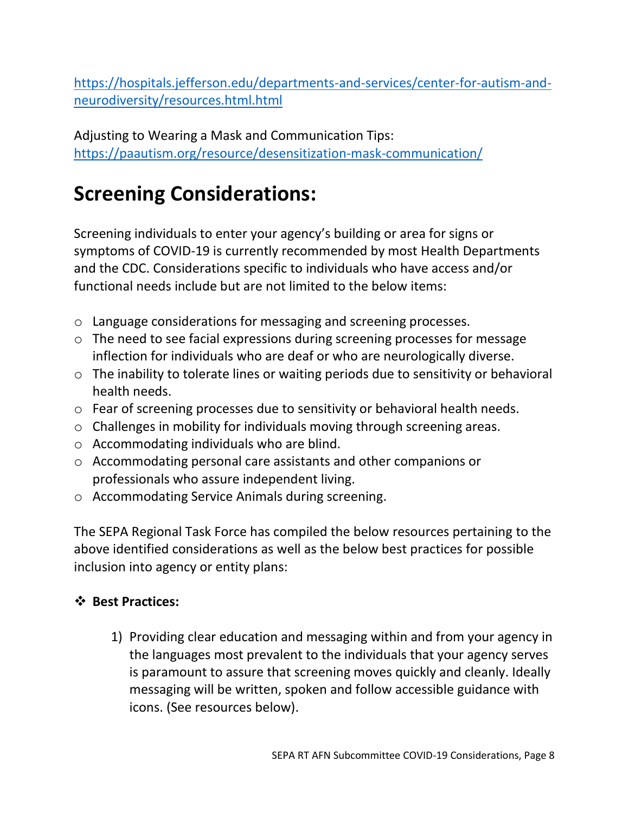[https://hospitals.jefferson.edu/departments-and-services/center-for-autism-and](https://hospitals.jefferson.edu/departments-and-services/center-for-autism-and-neurodiversity/resources.html.html)[neurodiversity/resources.html.html](https://hospitals.jefferson.edu/departments-and-services/center-for-autism-and-neurodiversity/resources.html.html)

Adjusting to Wearing a Mask and Communication Tips: <https://paautism.org/resource/desensitization-mask-communication/>

## **Screening Considerations:**

Screening individuals to enter your agency's building or area for signs or symptoms of COVID-19 is currently recommended by most Health Departments and the CDC. Considerations specific to individuals who have access and/or functional needs include but are not limited to the below items:

- o Language considerations for messaging and screening processes.
- o The need to see facial expressions during screening processes for message inflection for individuals who are deaf or who are neurologically diverse.
- o The inability to tolerate lines or waiting periods due to sensitivity or behavioral health needs.
- o Fear of screening processes due to sensitivity or behavioral health needs.
- o Challenges in mobility for individuals moving through screening areas.
- o Accommodating individuals who are blind.
- o Accommodating personal care assistants and other companions or professionals who assure independent living.
- o Accommodating Service Animals during screening.

The SEPA Regional Task Force has compiled the below resources pertaining to the above identified considerations as well as the below best practices for possible inclusion into agency or entity plans:

#### ❖ **Best Practices:**

1) Providing clear education and messaging within and from your agency in the languages most prevalent to the individuals that your agency serves is paramount to assure that screening moves quickly and cleanly. Ideally messaging will be written, spoken and follow accessible guidance with icons. (See resources below).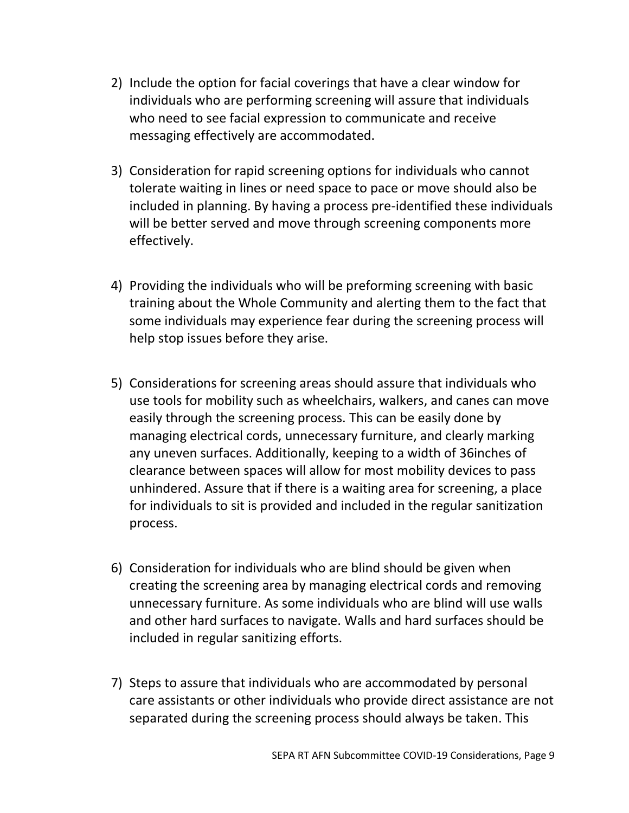- 2) Include the option for facial coverings that have a clear window for individuals who are performing screening will assure that individuals who need to see facial expression to communicate and receive messaging effectively are accommodated.
- 3) Consideration for rapid screening options for individuals who cannot tolerate waiting in lines or need space to pace or move should also be included in planning. By having a process pre-identified these individuals will be better served and move through screening components more effectively.
- 4) Providing the individuals who will be preforming screening with basic training about the Whole Community and alerting them to the fact that some individuals may experience fear during the screening process will help stop issues before they arise.
- 5) Considerations for screening areas should assure that individuals who use tools for mobility such as wheelchairs, walkers, and canes can move easily through the screening process. This can be easily done by managing electrical cords, unnecessary furniture, and clearly marking any uneven surfaces. Additionally, keeping to a width of 36inches of clearance between spaces will allow for most mobility devices to pass unhindered. Assure that if there is a waiting area for screening, a place for individuals to sit is provided and included in the regular sanitization process.
- 6) Consideration for individuals who are blind should be given when creating the screening area by managing electrical cords and removing unnecessary furniture. As some individuals who are blind will use walls and other hard surfaces to navigate. Walls and hard surfaces should be included in regular sanitizing efforts.
- 7) Steps to assure that individuals who are accommodated by personal care assistants or other individuals who provide direct assistance are not separated during the screening process should always be taken. This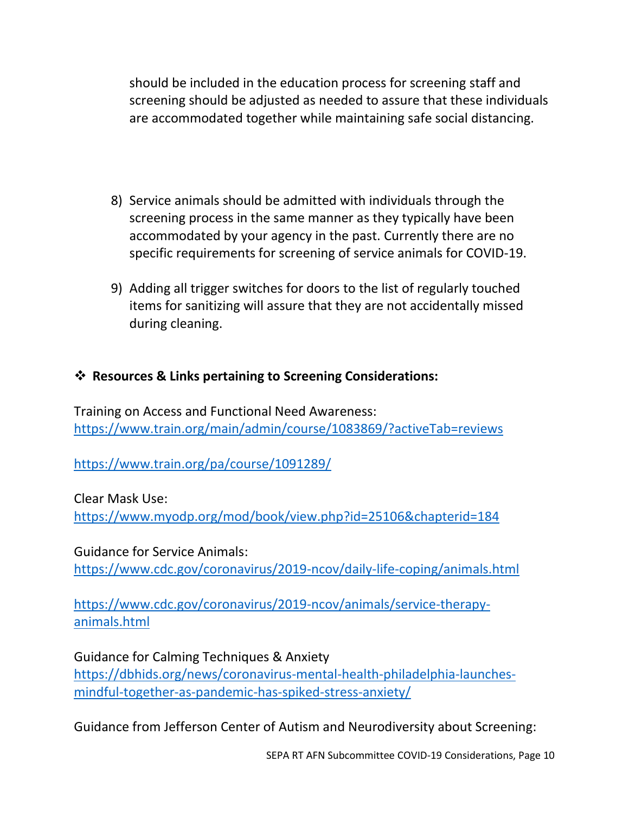should be included in the education process for screening staff and screening should be adjusted as needed to assure that these individuals are accommodated together while maintaining safe social distancing.

- 8) Service animals should be admitted with individuals through the screening process in the same manner as they typically have been accommodated by your agency in the past. Currently there are no specific requirements for screening of service animals for COVID-19.
- 9) Adding all trigger switches for doors to the list of regularly touched items for sanitizing will assure that they are not accidentally missed during cleaning.

#### ❖ **Resources & Links pertaining to Screening Considerations:**

Training on Access and Functional Need Awareness: <https://www.train.org/main/admin/course/1083869/?activeTab=reviews>

<https://www.train.org/pa/course/1091289/>

Clear Mask Use: <https://www.myodp.org/mod/book/view.php?id=25106&chapterid=184>

Guidance for Service Animals: <https://www.cdc.gov/coronavirus/2019-ncov/daily-life-coping/animals.html>

[https://www.cdc.gov/coronavirus/2019-ncov/animals/service-therapy](https://www.cdc.gov/coronavirus/2019-ncov/animals/service-therapy-animals.html)[animals.html](https://www.cdc.gov/coronavirus/2019-ncov/animals/service-therapy-animals.html)

Guidance for Calming Techniques & Anxiety [https://dbhids.org/news/coronavirus-mental-health-philadelphia-launches](https://dbhids.org/news/coronavirus-mental-health-philadelphia-launches-mindful-together-as-pandemic-has-spiked-stress-anxiety/)[mindful-together-as-pandemic-has-spiked-stress-anxiety/](https://dbhids.org/news/coronavirus-mental-health-philadelphia-launches-mindful-together-as-pandemic-has-spiked-stress-anxiety/)

Guidance from Jefferson Center of Autism and Neurodiversity about Screening: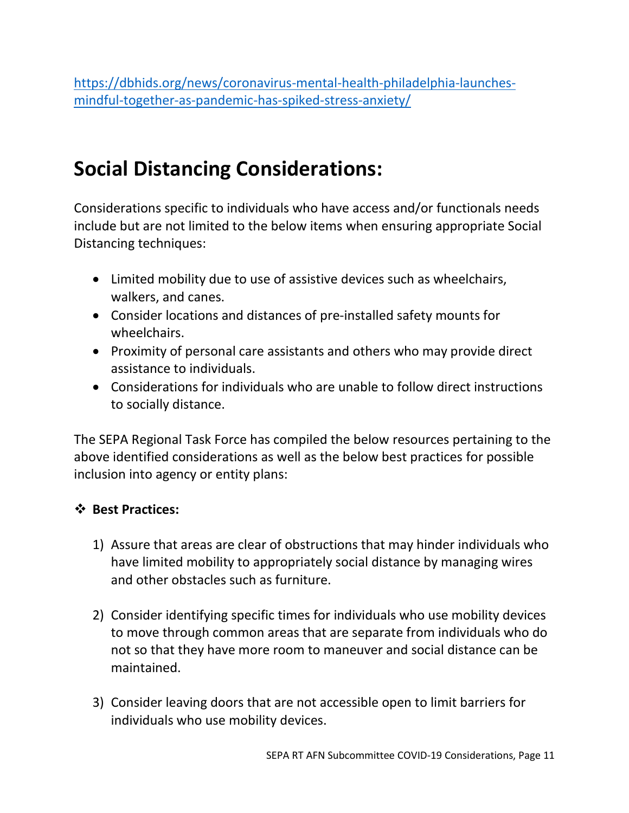[https://dbhids.org/news/coronavirus-mental-health-philadelphia-launches](https://dbhids.org/news/coronavirus-mental-health-philadelphia-launches-mindful-together-as-pandemic-has-spiked-stress-anxiety/)[mindful-together-as-pandemic-has-spiked-stress-anxiety/](https://dbhids.org/news/coronavirus-mental-health-philadelphia-launches-mindful-together-as-pandemic-has-spiked-stress-anxiety/)

## **Social Distancing Considerations:**

Considerations specific to individuals who have access and/or functionals needs include but are not limited to the below items when ensuring appropriate Social Distancing techniques:

- Limited mobility due to use of assistive devices such as wheelchairs, walkers, and canes.
- Consider locations and distances of pre-installed safety mounts for wheelchairs.
- Proximity of personal care assistants and others who may provide direct assistance to individuals.
- Considerations for individuals who are unable to follow direct instructions to socially distance.

The SEPA Regional Task Force has compiled the below resources pertaining to the above identified considerations as well as the below best practices for possible inclusion into agency or entity plans:

#### ❖ **Best Practices:**

- 1) Assure that areas are clear of obstructions that may hinder individuals who have limited mobility to appropriately social distance by managing wires and other obstacles such as furniture.
- 2) Consider identifying specific times for individuals who use mobility devices to move through common areas that are separate from individuals who do not so that they have more room to maneuver and social distance can be maintained.
- 3) Consider leaving doors that are not accessible open to limit barriers for individuals who use mobility devices.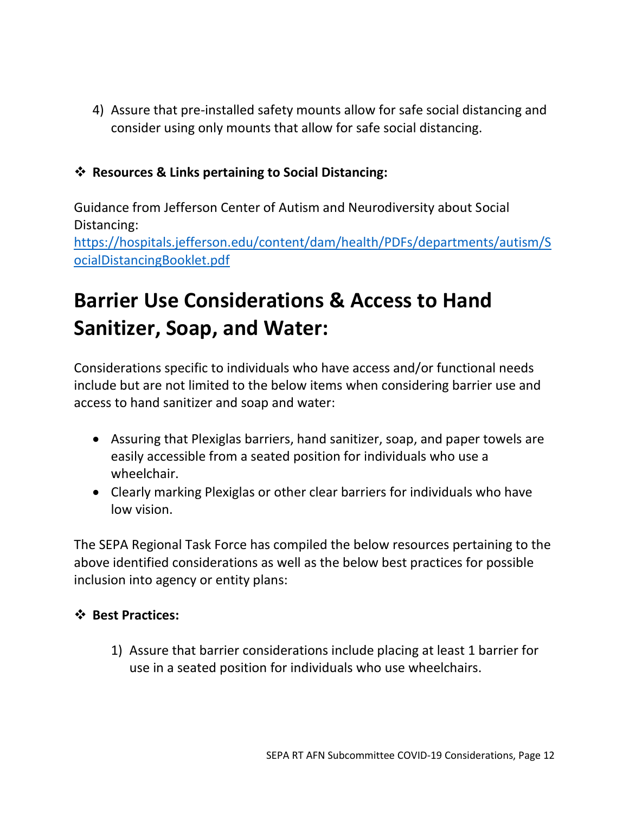4) Assure that pre-installed safety mounts allow for safe social distancing and consider using only mounts that allow for safe social distancing.

#### ❖ **Resources & Links pertaining to Social Distancing:**

Guidance from Jefferson Center of Autism and Neurodiversity about Social Distancing: [https://hospitals.jefferson.edu/content/dam/health/PDFs/departments/autism/S](https://hospitals.jefferson.edu/content/dam/health/PDFs/departments/autism/SocialDistancingBooklet.pdf) [ocialDistancingBooklet.pdf](https://hospitals.jefferson.edu/content/dam/health/PDFs/departments/autism/SocialDistancingBooklet.pdf)

## **Barrier Use Considerations & Access to Hand Sanitizer, Soap, and Water:**

Considerations specific to individuals who have access and/or functional needs include but are not limited to the below items when considering barrier use and access to hand sanitizer and soap and water:

- Assuring that Plexiglas barriers, hand sanitizer, soap, and paper towels are easily accessible from a seated position for individuals who use a wheelchair.
- Clearly marking Plexiglas or other clear barriers for individuals who have low vision.

The SEPA Regional Task Force has compiled the below resources pertaining to the above identified considerations as well as the below best practices for possible inclusion into agency or entity plans:

#### ❖ **Best Practices:**

1) Assure that barrier considerations include placing at least 1 barrier for use in a seated position for individuals who use wheelchairs.